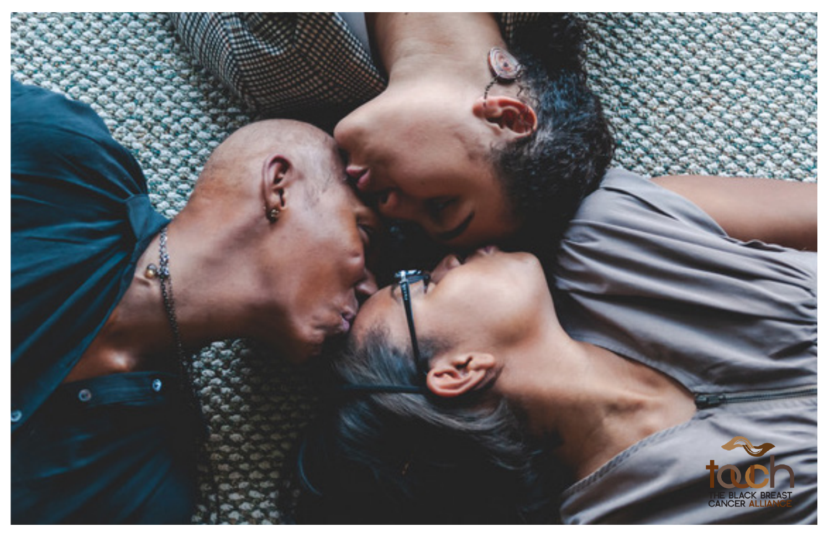